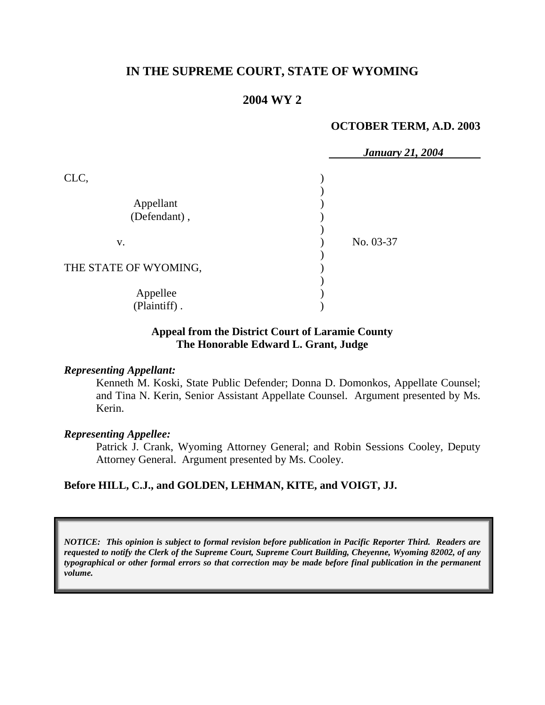# **IN THE SUPREME COURT, STATE OF WYOMING**

## **2004 WY 2**

#### **OCTOBER TERM, A.D. 2003**

|                           | <b>January 21, 2004</b> |
|---------------------------|-------------------------|
| CLC,                      |                         |
| Appellant<br>(Defendant), |                         |
| V.                        | No. 03-37               |
| THE STATE OF WYOMING,     |                         |
| Appellee<br>(Plaintiff).  |                         |

#### **Appeal from the District Court of Laramie County The Honorable Edward L. Grant, Judge**

#### *Representing Appellant:*

Kenneth M. Koski, State Public Defender; Donna D. Domonkos, Appellate Counsel; and Tina N. Kerin, Senior Assistant Appellate Counsel. Argument presented by Ms. Kerin.

#### *Representing Appellee:*

Patrick J. Crank, Wyoming Attorney General; and Robin Sessions Cooley, Deputy Attorney General. Argument presented by Ms. Cooley.

## **Before HILL, C.J., and GOLDEN, LEHMAN, KITE, and VOIGT, JJ.**

*NOTICE: This opinion is subject to formal revision before publication in Pacific Reporter Third. Readers are requested to notify the Clerk of the Supreme Court, Supreme Court Building, Cheyenne, Wyoming 82002, of any typographical or other formal errors so that correction may be made before final publication in the permanent volume.*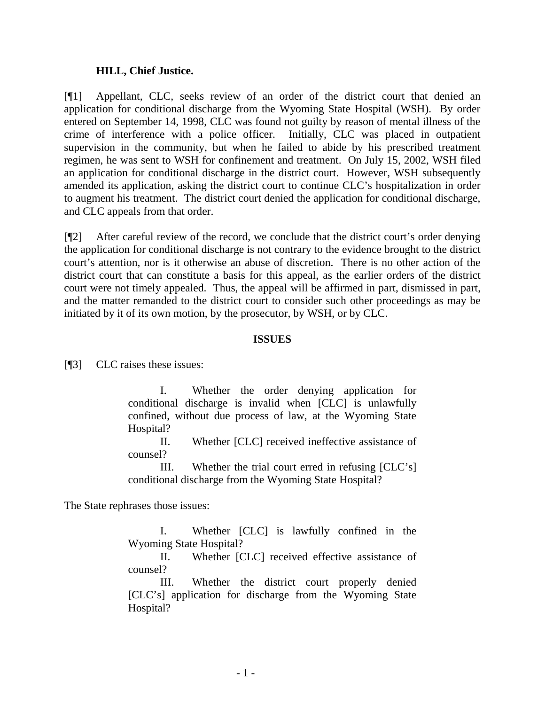## **HILL, Chief Justice.**

[¶1] Appellant, CLC, seeks review of an order of the district court that denied an application for conditional discharge from the Wyoming State Hospital (WSH). By order entered on September 14, 1998, CLC was found not guilty by reason of mental illness of the crime of interference with a police officer. Initially, CLC was placed in outpatient supervision in the community, but when he failed to abide by his prescribed treatment regimen, he was sent to WSH for confinement and treatment. On July 15, 2002, WSH filed an application for conditional discharge in the district court. However, WSH subsequently amended its application, asking the district court to continue CLC's hospitalization in order to augment his treatment. The district court denied the application for conditional discharge, and CLC appeals from that order.

[¶2] After careful review of the record, we conclude that the district court's order denying the application for conditional discharge is not contrary to the evidence brought to the district court's attention, nor is it otherwise an abuse of discretion. There is no other action of the district court that can constitute a basis for this appeal, as the earlier orders of the district court were not timely appealed. Thus, the appeal will be affirmed in part, dismissed in part, and the matter remanded to the district court to consider such other proceedings as may be initiated by it of its own motion, by the prosecutor, by WSH, or by CLC.

## **ISSUES**

[¶3] CLC raises these issues:

 I. Whether the order denying application for conditional discharge is invalid when [CLC] is unlawfully confined, without due process of law, at the Wyoming State Hospital?

 II. Whether [CLC] received ineffective assistance of counsel?

 III. Whether the trial court erred in refusing [CLC's] conditional discharge from the Wyoming State Hospital?

The State rephrases those issues:

 I. Whether [CLC] is lawfully confined in the Wyoming State Hospital?

 II. Whether [CLC] received effective assistance of counsel?

 III. Whether the district court properly denied [CLC's] application for discharge from the Wyoming State Hospital?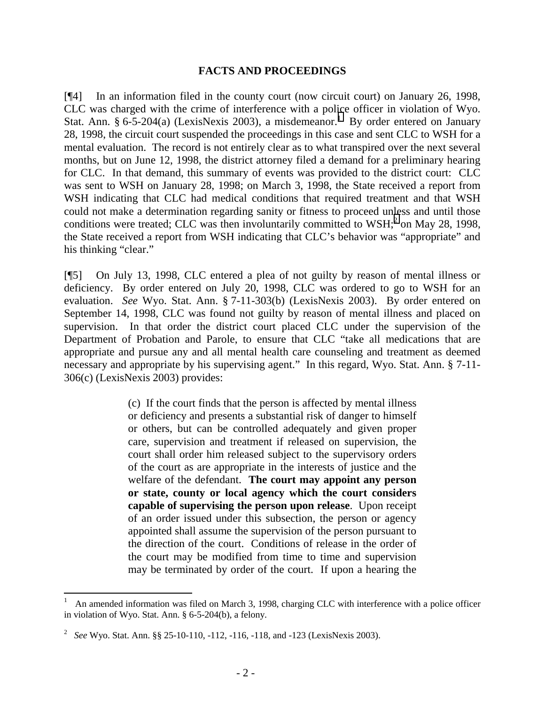#### **FACTS AND PROCEEDINGS**

[¶4] In an information filed in the county court (now circuit court) on January 26, 1998, CLC was charged with the crime of interference with a police officer in violation of Wyo. Stat. Ann. § 6-5-204(a) (LexisNexis 2003), a misdemeanor.<sup>1</sup> By order entered on January 28, 1998, the circuit court suspended the proceedings in this case and sent CLC to WSH for a mental evaluation. The record is not entirely clear as to what transpired over the next several months, but on June 12, 1998, the district attorney filed a demand for a preliminary hearing for CLC. In that demand, this summary of events was provided to the district court: CLC was sent to WSH on January 28, 1998; on March 3, 1998, the State received a report from WSH indicating that CLC had medical conditions that required treatment and that WSH could not make a determination regarding sanity or fitness to proceed unless and until those conditions were treated; CLC was then involuntarily committed to  $WSH$ ;<sup>2</sup> on May 28, 1998, the State received a report from WSH indicating that CLC's behavior was "appropriate" and his thinking "clear."

[¶5] On July 13, 1998, CLC entered a plea of not guilty by reason of mental illness or deficiency. By order entered on July 20, 1998, CLC was ordered to go to WSH for an evaluation. *See* Wyo. Stat. Ann. § 7-11-303(b) (LexisNexis 2003). By order entered on September 14, 1998, CLC was found not guilty by reason of mental illness and placed on supervision. In that order the district court placed CLC under the supervision of the Department of Probation and Parole, to ensure that CLC "take all medications that are appropriate and pursue any and all mental health care counseling and treatment as deemed necessary and appropriate by his supervising agent." In this regard, Wyo. Stat. Ann. § 7-11- 306(c) (LexisNexis 2003) provides:

> (c) If the court finds that the person is affected by mental illness or deficiency and presents a substantial risk of danger to himself or others, but can be controlled adequately and given proper care, supervision and treatment if released on supervision, the court shall order him released subject to the supervisory orders of the court as are appropriate in the interests of justice and the welfare of the defendant. **The court may appoint any person or state, county or local agency which the court considers capable of supervising the person upon release**. Upon receipt of an order issued under this subsection, the person or agency appointed shall assume the supervision of the person pursuant to the direction of the court. Conditions of release in the order of the court may be modified from time to time and supervision may be terminated by order of the court. If upon a hearing the

 $\overline{a}$ 

<sup>1</sup> An amended information was filed on March 3, 1998, charging CLC with interference with a police officer in violation of Wyo. Stat. Ann. § 6-5-204(b), a felony.

<sup>2</sup> *See* Wyo. Stat. Ann. §§ 25-10-110, -112, -116, -118, and -123 (LexisNexis 2003).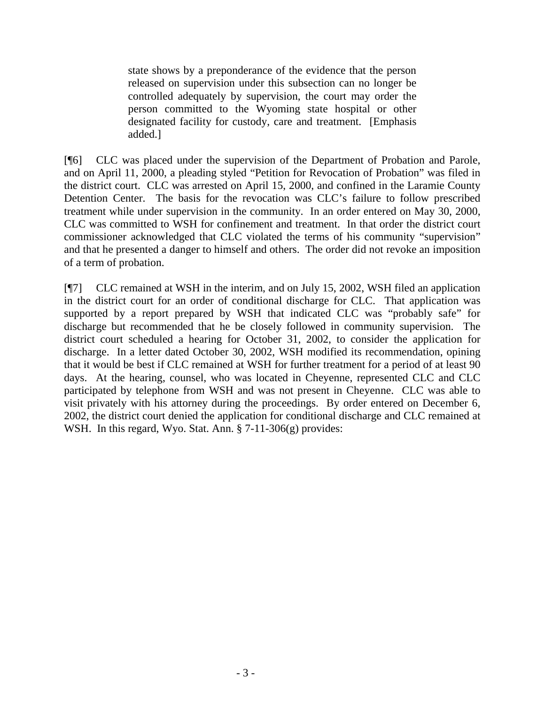state shows by a preponderance of the evidence that the person released on supervision under this subsection can no longer be controlled adequately by supervision, the court may order the person committed to the Wyoming state hospital or other designated facility for custody, care and treatment. [Emphasis added.]

[¶6] CLC was placed under the supervision of the Department of Probation and Parole, and on April 11, 2000, a pleading styled "Petition for Revocation of Probation" was filed in the district court. CLC was arrested on April 15, 2000, and confined in the Laramie County Detention Center. The basis for the revocation was CLC's failure to follow prescribed treatment while under supervision in the community. In an order entered on May 30, 2000, CLC was committed to WSH for confinement and treatment. In that order the district court commissioner acknowledged that CLC violated the terms of his community "supervision" and that he presented a danger to himself and others. The order did not revoke an imposition of a term of probation.

[¶7] CLC remained at WSH in the interim, and on July 15, 2002, WSH filed an application in the district court for an order of conditional discharge for CLC. That application was supported by a report prepared by WSH that indicated CLC was "probably safe" for discharge but recommended that he be closely followed in community supervision. The district court scheduled a hearing for October 31, 2002, to consider the application for discharge. In a letter dated October 30, 2002, WSH modified its recommendation, opining that it would be best if CLC remained at WSH for further treatment for a period of at least 90 days. At the hearing, counsel, who was located in Cheyenne, represented CLC and CLC participated by telephone from WSH and was not present in Cheyenne. CLC was able to visit privately with his attorney during the proceedings. By order entered on December 6, 2002, the district court denied the application for conditional discharge and CLC remained at WSH. In this regard, Wyo. Stat. Ann. § 7-11-306(g) provides: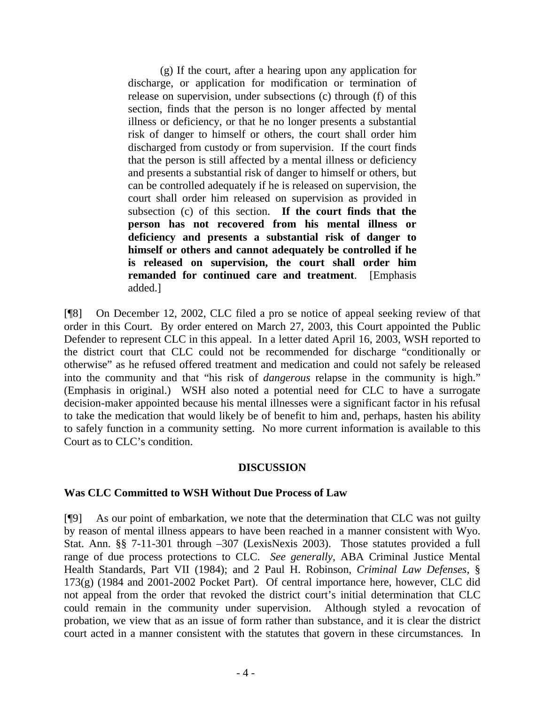(g) If the court, after a hearing upon any application for discharge, or application for modification or termination of release on supervision, under subsections (c) through (f) of this section, finds that the person is no longer affected by mental illness or deficiency, or that he no longer presents a substantial risk of danger to himself or others, the court shall order him discharged from custody or from supervision. If the court finds that the person is still affected by a mental illness or deficiency and presents a substantial risk of danger to himself or others, but can be controlled adequately if he is released on supervision, the court shall order him released on supervision as provided in subsection (c) of this section. **If the court finds that the person has not recovered from his mental illness or deficiency and presents a substantial risk of danger to himself or others and cannot adequately be controlled if he is released on supervision, the court shall order him remanded for continued care and treatment**. [Emphasis added.]

[¶8] On December 12, 2002, CLC filed a pro se notice of appeal seeking review of that order in this Court. By order entered on March 27, 2003, this Court appointed the Public Defender to represent CLC in this appeal. In a letter dated April 16, 2003, WSH reported to the district court that CLC could not be recommended for discharge "conditionally or otherwise" as he refused offered treatment and medication and could not safely be released into the community and that "his risk of *dangerous* relapse in the community is high." (Emphasis in original.) WSH also noted a potential need for CLC to have a surrogate decision-maker appointed because his mental illnesses were a significant factor in his refusal to take the medication that would likely be of benefit to him and, perhaps, hasten his ability to safely function in a community setting. No more current information is available to this Court as to CLC's condition.

## **DISCUSSION**

## **Was CLC Committed to WSH Without Due Process of Law**

[¶9] As our point of embarkation, we note that the determination that CLC was not guilty by reason of mental illness appears to have been reached in a manner consistent with Wyo. Stat. Ann. §§ 7-11-301 through –307 (LexisNexis 2003). Those statutes provided a full range of due process protections to CLC. *See generally,* ABA Criminal Justice Mental Health Standards, Part VII (1984); and 2 Paul H. Robinson, *Criminal Law Defenses*, § 173(g) (1984 and 2001-2002 Pocket Part). Of central importance here, however, CLC did not appeal from the order that revoked the district court's initial determination that CLC could remain in the community under supervision. Although styled a revocation of probation, we view that as an issue of form rather than substance, and it is clear the district court acted in a manner consistent with the statutes that govern in these circumstances. In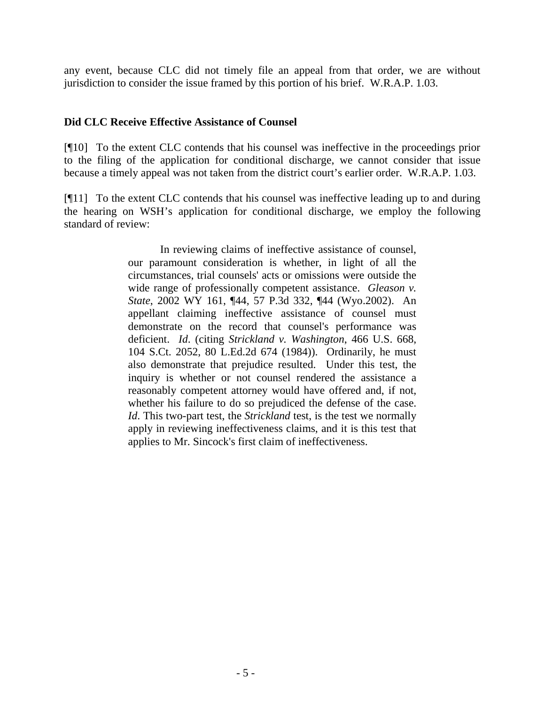any event, because CLC did not timely file an appeal from that order, we are without jurisdiction to consider the issue framed by this portion of his brief. W.R.A.P. 1.03.

## **Did CLC Receive Effective Assistance of Counsel**

[¶10] To the extent CLC contends that his counsel was ineffective in the proceedings prior to the filing of the application for conditional discharge, we cannot consider that issue because a timely appeal was not taken from the district court's earlier order. W.R.A.P. 1.03.

[¶11] To the extent CLC contends that his counsel was ineffective leading up to and during the hearing on WSH's application for conditional discharge, we employ the following standard of review:

> In reviewing claims of ineffective assistance of counsel, our paramount consideration is whether, in light of all the circumstances, trial counsels' acts or omissions were outside the wide range of professionally competent assistance. *Gleason v. State*, 2002 WY 161, ¶44, 57 P.3d 332, ¶44 (Wyo.2002). An appellant claiming ineffective assistance of counsel must demonstrate on the record that counsel's performance was deficient. *Id*. (citing *Strickland v. Washington*, 466 U.S. 668, 104 S.Ct. 2052, 80 L.Ed.2d 674 (1984)). Ordinarily, he must also demonstrate that prejudice resulted. Under this test, the inquiry is whether or not counsel rendered the assistance a reasonably competent attorney would have offered and, if not, whether his failure to do so prejudiced the defense of the case. *Id*. This two-part test, the *Strickland* test, is the test we normally apply in reviewing ineffectiveness claims, and it is this test that applies to Mr. Sincock's first claim of ineffectiveness.